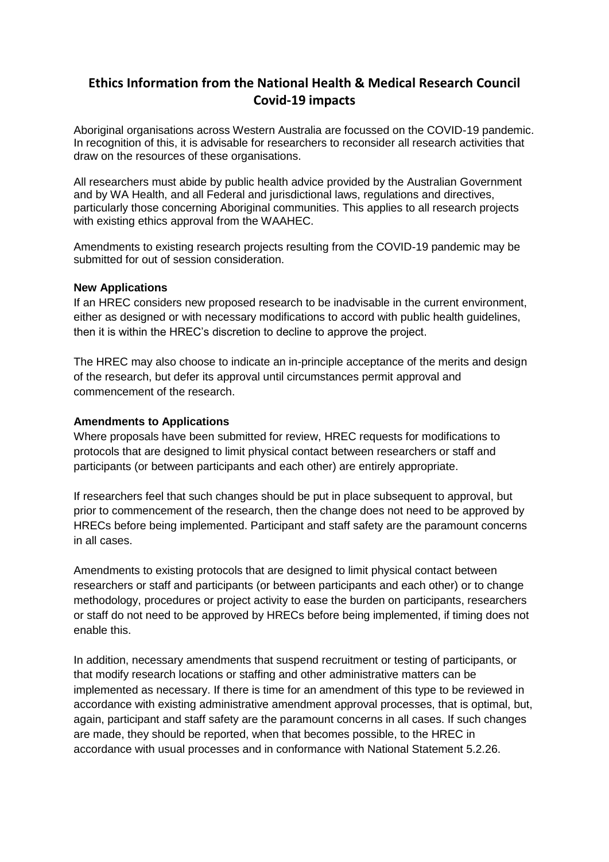## **Ethics Information from the National Health & Medical Research Council Covid-19 impacts**

Aboriginal organisations across Western Australia are focussed on the COVID-19 pandemic. In recognition of this, it is advisable for researchers to reconsider all research activities that draw on the resources of these organisations.

All researchers must abide by public health advice provided by the Australian Government and by WA Health, and all Federal and jurisdictional laws, regulations and directives, particularly those concerning Aboriginal communities. This applies to all research projects with existing ethics approval from the WAAHEC.

Amendments to existing research projects resulting from the COVID-19 pandemic may be submitted for out of session consideration.

## **New Applications**

If an HREC considers new proposed research to be inadvisable in the current environment, either as designed or with necessary modifications to accord with public health guidelines, then it is within the HREC's discretion to decline to approve the project.

The HREC may also choose to indicate an in-principle acceptance of the merits and design of the research, but defer its approval until circumstances permit approval and commencement of the research.

## **Amendments to Applications**

Where proposals have been submitted for review, HREC requests for modifications to protocols that are designed to limit physical contact between researchers or staff and participants (or between participants and each other) are entirely appropriate.

If researchers feel that such changes should be put in place subsequent to approval, but prior to commencement of the research, then the change does not need to be approved by HRECs before being implemented. Participant and staff safety are the paramount concerns in all cases.

Amendments to existing protocols that are designed to limit physical contact between researchers or staff and participants (or between participants and each other) or to change methodology, procedures or project activity to ease the burden on participants, researchers or staff do not need to be approved by HRECs before being implemented, if timing does not enable this.

In addition, necessary amendments that suspend recruitment or testing of participants, or that modify research locations or staffing and other administrative matters can be implemented as necessary. If there is time for an amendment of this type to be reviewed in accordance with existing administrative amendment approval processes, that is optimal, but, again, participant and staff safety are the paramount concerns in all cases. If such changes are made, they should be reported, when that becomes possible, to the HREC in accordance with usual processes and in conformance with National Statement 5.2.26.